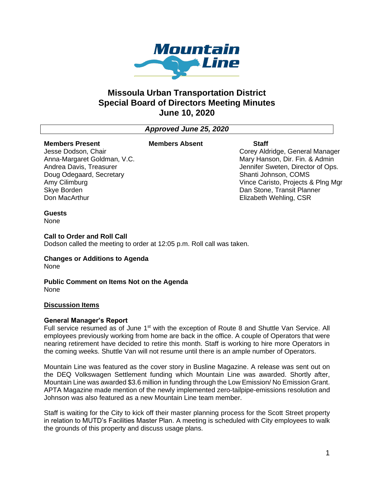

# **Missoula Urban Transportation District Special Board of Directors Meeting Minutes June 10, 2020**

# *Approved June 25, 2020*

#### **Members Present** Jesse Dodson, Chair

Amy Cilimburg Skye Borden Don MacArthur

#### **Members Absent Staff**

Corey Aldridge, General Manager Mary Hanson, Dir. Fin. & Admin Jennifer Sweten, Director of Ops. Shanti Johnson, COMS Vince Caristo, Projects & Plng Mgr Dan Stone, Transit Planner Elizabeth Wehling, CSR

#### **Guests**

None

#### **Call to Order and Roll Call**

Anna-Margaret Goldman, V.C. Andrea Davis, Treasurer Doug Odegaard, Secretary

Dodson called the meeting to order at 12:05 p.m. Roll call was taken.

# **Changes or Additions to Agenda**

None

#### **Public Comment on Items Not on the Agenda** None

#### **Discussion Items**

#### **General Manager's Report**

Full service resumed as of June 1<sup>st</sup> with the exception of Route 8 and Shuttle Van Service. All employees previously working from home are back in the office. A couple of Operators that were nearing retirement have decided to retire this month. Staff is working to hire more Operators in the coming weeks. Shuttle Van will not resume until there is an ample number of Operators.

Mountain Line was featured as the cover story in Busline Magazine. A release was sent out on the DEQ Volkswagen Settlement funding which Mountain Line was awarded. Shortly after, Mountain Line was awarded \$3.6 million in funding through the Low Emission/ No Emission Grant. APTA Magazine made mention of the newly implemented zero-tailpipe-emissions resolution and Johnson was also featured as a new Mountain Line team member.

Staff is waiting for the City to kick off their master planning process for the Scott Street property in relation to MUTD's Facilities Master Plan. A meeting is scheduled with City employees to walk the grounds of this property and discuss usage plans.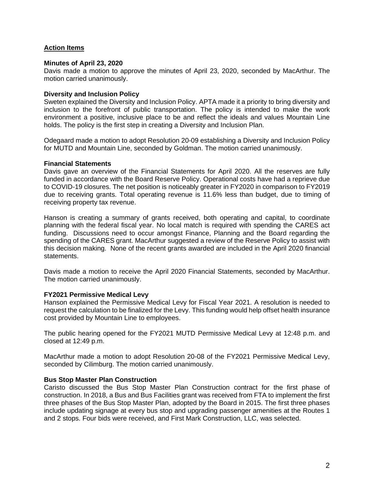# **Action Items**

#### **Minutes of April 23, 2020**

Davis made a motion to approve the minutes of April 23, 2020, seconded by MacArthur. The motion carried unanimously.

## **Diversity and Inclusion Policy**

Sweten explained the Diversity and Inclusion Policy. APTA made it a priority to bring diversity and inclusion to the forefront of public transportation. The policy is intended to make the work environment a positive, inclusive place to be and reflect the ideals and values Mountain Line holds. The policy is the first step in creating a Diversity and Inclusion Plan.

Odegaard made a motion to adopt Resolution 20-09 establishing a Diversity and Inclusion Policy for MUTD and Mountain Line, seconded by Goldman. The motion carried unanimously.

#### **Financial Statements**

Davis gave an overview of the Financial Statements for April 2020. All the reserves are fully funded in accordance with the Board Reserve Policy. Operational costs have had a reprieve due to COVID-19 closures. The net position is noticeably greater in FY2020 in comparison to FY2019 due to receiving grants. Total operating revenue is 11.6% less than budget, due to timing of receiving property tax revenue.

Hanson is creating a summary of grants received, both operating and capital, to coordinate planning with the federal fiscal year. No local match is required with spending the CARES act funding. Discussions need to occur amongst Finance, Planning and the Board regarding the spending of the CARES grant. MacArthur suggested a review of the Reserve Policy to assist with this decision making. None of the recent grants awarded are included in the April 2020 financial statements.

Davis made a motion to receive the April 2020 Financial Statements, seconded by MacArthur. The motion carried unanimously.

#### **FY2021 Permissive Medical Levy**

Hanson explained the Permissive Medical Levy for Fiscal Year 2021. A resolution is needed to request the calculation to be finalized for the Levy. This funding would help offset health insurance cost provided by Mountain Line to employees.

The public hearing opened for the FY2021 MUTD Permissive Medical Levy at 12:48 p.m. and closed at 12:49 p.m.

MacArthur made a motion to adopt Resolution 20-08 of the FY2021 Permissive Medical Levy, seconded by Cilimburg. The motion carried unanimously.

#### **Bus Stop Master Plan Construction**

Caristo discussed the Bus Stop Master Plan Construction contract for the first phase of construction. In 2018, a Bus and Bus Facilities grant was received from FTA to implement the first three phases of the Bus Stop Master Plan, adopted by the Board in 2015. The first three phases include updating signage at every bus stop and upgrading passenger amenities at the Routes 1 and 2 stops. Four bids were received, and First Mark Construction, LLC, was selected.